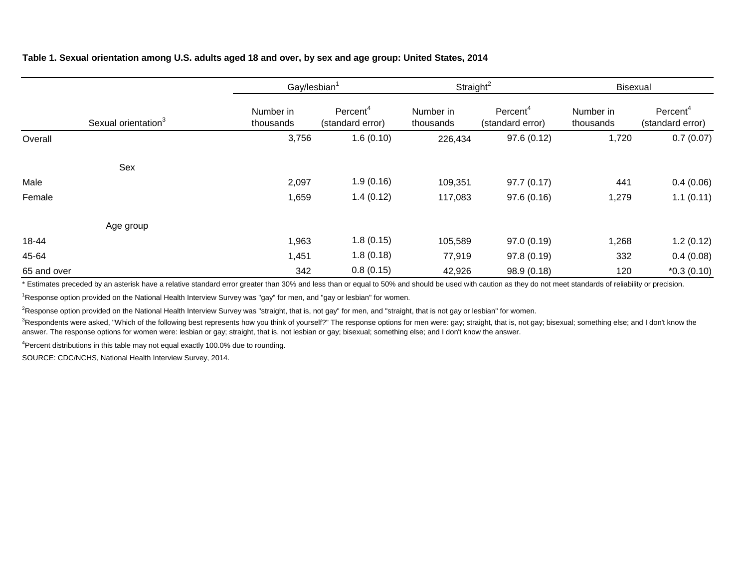## **Table 1. Sexual orientation among U.S. adults aged 18 and over, by sex and age group: United States, 2014**

|             |                                 | Gay/lesbian <sup>1</sup> |                                          | Straight <sup>2</sup>  |                                          | <b>Bisexual</b>        |                                          |  |
|-------------|---------------------------------|--------------------------|------------------------------------------|------------------------|------------------------------------------|------------------------|------------------------------------------|--|
|             | Sexual orientation <sup>3</sup> | Number in<br>thousands   | Percent <sup>4</sup><br>(standard error) | Number in<br>thousands | Percent <sup>4</sup><br>(standard error) | Number in<br>thousands | Percent <sup>4</sup><br>(standard error) |  |
| Overall     |                                 | 3,756                    | 1.6(0.10)                                | 226,434                | 97.6(0.12)                               | 1,720                  | 0.7(0.07)                                |  |
|             | Sex                             |                          |                                          |                        |                                          |                        |                                          |  |
| Male        |                                 | 2,097                    | 1.9(0.16)                                | 109,351                | 97.7(0.17)                               | 441                    | 0.4(0.06)                                |  |
| Female      |                                 | 1,659                    | 1.4(0.12)                                | 117,083                | 97.6(0.16)                               | 1,279                  | 1.1(0.11)                                |  |
|             | Age group                       |                          |                                          |                        |                                          |                        |                                          |  |
| 18-44       |                                 | 1,963                    | 1.8(0.15)                                | 105,589                | 97.0 (0.19)                              | 1,268                  | 1.2(0.12)                                |  |
| 45-64       |                                 | 1,451                    | 1.8(0.18)                                | 77,919                 | 97.8 (0.19)                              | 332                    | 0.4(0.08)                                |  |
| 65 and over |                                 | 342                      | 0.8(0.15)                                | 42,926                 | 98.9 (0.18)                              | 120                    | $*0.3(0.10)$                             |  |

\* Estimates preceded by an asterisk have a relative standard error greater than 30% and less than or equal to 50% and should be used with caution as they do not meet standards of reliability or precision.

<sup>1</sup>Response option provided on the National Health Interview Survey was "gay" for men, and "gay or lesbian" for women.

<sup>2</sup>Response option provided on the National Health Interview Survey was "straight, that is, not gay" for men, and "straight, that is not gay or lesbian" for women.

<sup>3</sup>Respondents were asked, "Which of the following best represents how you think of yourself?" The response options for men were: gay; straight, that is, not gay; bisexual; something else; and I don't know the answer. The response options for women were: lesbian or gay; straight, that is, not lesbian or gay; bisexual; something else; and I don't know the answer.

<sup>4</sup>Percent distributions in this table may not equal exactly 100.0% due to rounding.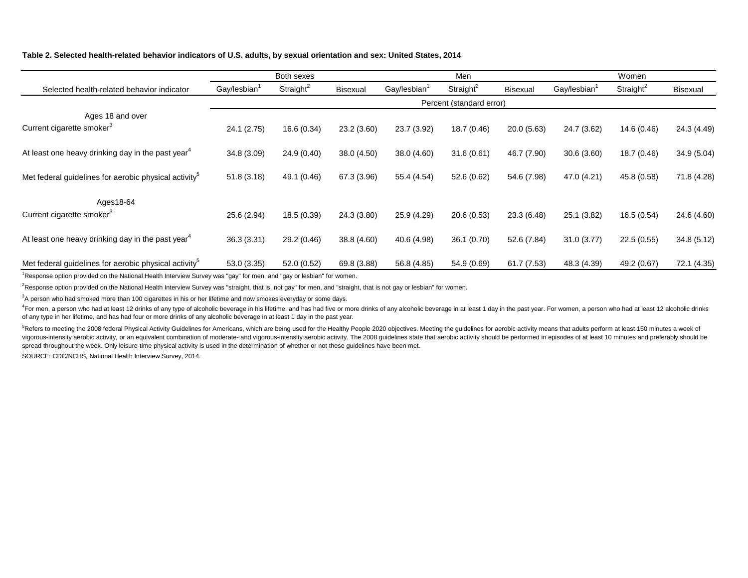### **Table 2. Selected health-related behavior indicators of U.S. adults, by sexual orientation and sex: United States, 2014**

|                                                                   | Both sexes               |                       |                 | Men                      |                       |             | Women                    |                       |             |
|-------------------------------------------------------------------|--------------------------|-----------------------|-----------------|--------------------------|-----------------------|-------------|--------------------------|-----------------------|-------------|
| Selected health-related behavior indicator                        | Gay/lesbian <sup>1</sup> | Straight <sup>2</sup> | <b>Bisexual</b> | Gay/lesbian <sup>1</sup> | Straight <sup>2</sup> | Bisexual    | Gay/lesbian <sup>1</sup> | Straight <sup>2</sup> | Bisexual    |
|                                                                   |                          |                       |                 | Percent (standard error) |                       |             |                          |                       |             |
| Ages 18 and over                                                  |                          |                       |                 |                          |                       |             |                          |                       |             |
| Current cigarette smoker <sup>3</sup>                             | 24.1 (2.75)              | 16.6 (0.34)           | 23.2(3.60)      | 23.7 (3.92)              | 18.7 (0.46)           | 20.0(5.63)  | 24.7 (3.62)              | 14.6 (0.46)           | 24.3 (4.49) |
| At least one heavy drinking day in the past year <sup>4</sup>     | 34.8 (3.09)              | 24.9(0.40)            | 38.0 (4.50)     | 38.0(4.60)               | 31.6(0.61)            | 46.7 (7.90) | 30.6(3.60)               | 18.7(0.46)            | 34.9(5.04)  |
| Met federal guidelines for aerobic physical activity <sup>5</sup> | 51.8(3.18)               | 49.1 (0.46)           | 67.3 (3.96)     | 55.4 (4.54)              | 52.6(0.62)            | 54.6 (7.98) | 47.0 (4.21)              | 45.8 (0.58)           | 71.8 (4.28) |
| Ages18-64                                                         |                          |                       |                 |                          |                       |             |                          |                       |             |
| Current cigarette smoker <sup>3</sup>                             | 25.6 (2.94)              | 18.5 (0.39)           | 24.3 (3.80)     | 25.9 (4.29)              | 20.6(0.53)            | 23.3 (6.48) | 25.1 (3.82)              | 16.5(0.54)            | 24.6 (4.60) |
| At least one heavy drinking day in the past year <sup>4</sup>     | 36.3 (3.31)              | 29.2 (0.46)           | 38.8 (4.60)     | 40.6 (4.98)              | 36.1(0.70)            | 52.6 (7.84) | 31.0(3.77)               | 22.5(0.55)            | 34.8(5.12)  |
| Met federal guidelines for aerobic physical activity <sup>5</sup> | 53.0 (3.35)              | 52.0 (0.52)           | 69.8 (3.88)     | 56.8 (4.85)              | 54.9 (0.69)           | 61.7(7.53)  | 48.3 (4.39)              | 49.2 (0.67)           | 72.1 (4.35) |

<sup>1</sup>Response option provided on the National Health Interview Survey was "gay" for men, and "gay or lesbian" for women.

<sup>2</sup>Response option provided on the National Health Interview Survey was "straight, that is, not gay" for men, and "straight, that is not gay or lesbian" for women.

 ${}^{3}$ A person who had smoked more than 100 cigarettes in his or her lifetime and now smokes everyday or some days.

<sup>4</sup>For men, a person who had at least 12 drinks of any type of alcoholic beverage in his lifetime, and has had five or more drinks of any alcoholic beverage in at least 1 day in the past year. For women, a person who had a of any type in her lifetime, and has had four or more drinks of any alcoholic beverage in at least 1 day in the past year.

<sup>5</sup>Refers to meeting the 2008 federal Physical Activity Guidelines for Americans, which are being used for the Healthy People 2020 objectives. Meeting the guidelines for aerobic activity means that adults perform at least vigorous-intensity aerobic activity, or an equivalent combination of moderate- and vigorous-intensity aerobic activity. The 2008 quidelines state that aerobic activity should be performed in episodes of at least 10 minutes spread throughout the week. Only leisure-time physical activity is used in the determination of whether or not these guidelines have been met.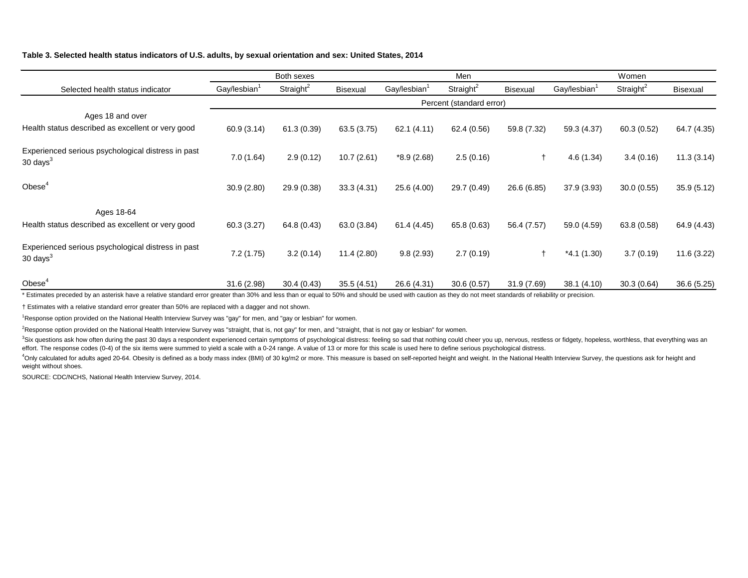## **Table 3. Selected health status indicators of U.S. adults, by sexual orientation and sex: United States, 2014**

|                                                                                               | Both sexes               |               |                 |                          | Men                      |                 | Women                    |                       |                 |
|-----------------------------------------------------------------------------------------------|--------------------------|---------------|-----------------|--------------------------|--------------------------|-----------------|--------------------------|-----------------------|-----------------|
| Selected health status indicator                                                              | Gay/lesbian <sup>1</sup> | Straight $^2$ | <b>Bisexual</b> | Gay/lesbian <sup>1</sup> | Straight <sup>2</sup>    | <b>Bisexual</b> | Gay/lesbian <sup>1</sup> | Straight <sup>2</sup> | <b>Bisexual</b> |
|                                                                                               |                          |               |                 |                          | Percent (standard error) |                 |                          |                       |                 |
| Ages 18 and over                                                                              |                          |               |                 |                          |                          |                 |                          |                       |                 |
| Health status described as excellent or very good                                             | 60.9 (3.14)              | 61.3(0.39)    | 63.5(3.75)      | 62.1(4.11)               | 62.4 (0.56)              | 59.8 (7.32)     | 59.3 (4.37)              | 60.3(0.52)            | 64.7 (4.35)     |
| Experienced serious psychological distress in past<br>30 days $3$                             | 7.0(1.64)                | 2.9(0.12)     | 10.7(2.61)      | $*8.9(2.68)$             | 2.5(0.16)                | $\ddagger$      | 4.6(1.34)                | 3.4(0.16)             | 11.3(3.14)      |
| Obese <sup>4</sup>                                                                            | 30.9(2.80)               | 29.9 (0.38)   | 33.3 (4.31)     | 25.6 (4.00)              | 29.7 (0.49)              | 26.6 (6.85)     | 37.9 (3.93)              | 30.0(0.55)            | 35.9(5.12)      |
| Ages 18-64                                                                                    |                          |               |                 |                          |                          |                 |                          |                       |                 |
| Health status described as excellent or very good                                             | 60.3(3.27)               | 64.8 (0.43)   | 63.0 (3.84)     | 61.4 (4.45)              | 65.8 (0.63)              | 56.4 (7.57)     | 59.0 (4.59)              | 63.8(0.58)            | 64.9 (4.43)     |
| Experienced serious psychological distress in past<br>30 days $3$                             | 7.2(1.75)                | 3.2(0.14)     | 11.4(2.80)      | 9.8(2.93)                | 2.7(0.19)                | $\ddagger$      | $*4.1(1.30)$             | 3.7(0.19)             | 11.6(3.22)      |
| Obese <sup>4</sup><br>.<br>$\cdot$ $\cdot$ $\cdot$<br>$\sim$ $\sim$ $\sim$ $\sim$<br>$\cdots$ | 31.6 (2.98)              | 30.4(0.43)    | 35.5(4.51)      | 26.6 (4.31)              | 30.6(0.57)               | 31.9 (7.69)     | 38.1(4.10)               | 30.3(0.64)            | 36.6(5.25)      |

Estimates preceded by an asterisk have a relative standard error greater than 30% and less than or equal to 50% and should be used with caution as they do not meet standards of reliability or precision.

† Estimates with a relative standard error greater than 50% are replaced with a dagger and not shown.

<sup>1</sup>Response option provided on the National Health Interview Survey was "gay" for men, and "gay or lesbian" for women.

<sup>2</sup>Response option provided on the National Health Interview Survey was "straight, that is, not gay" for men, and "straight, that is not gay or lesbian" for women.

<sup>3</sup>Six questions ask how often during the past 30 days a respondent experienced certain symptoms of psychological distress: feeling so sad that nothing could cheer you up, nervous, restless or fidgety, hopeless, worthless, effort. The response codes (0-4) of the six items were summed to yield a scale with a 0-24 range. A value of 13 or more for this scale is used here to define serious psychological distress.

<sup>4</sup>Only calculated for adults aged 20-64. Obesity is defined as a body mass index (BMI) of 30 kg/m2 or more. This measure is based on self-reported height and weight. In the National Health Interview Survey, the questions weight without shoes.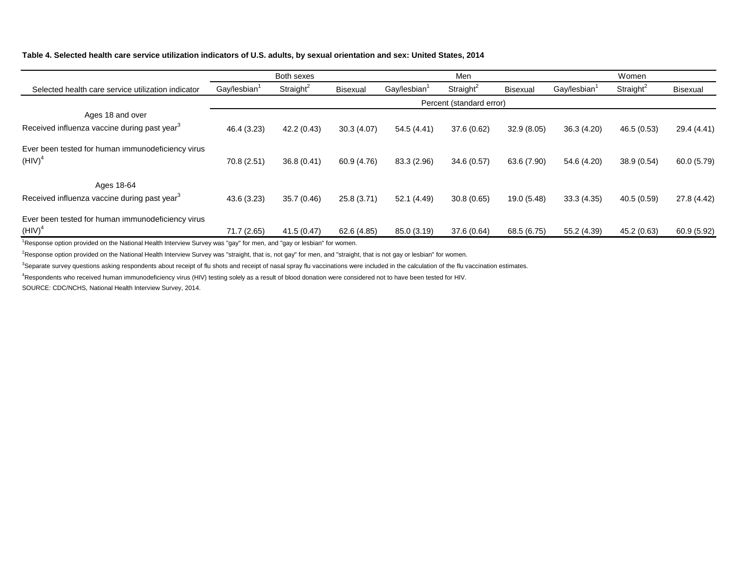# **Table 4. Selected health care service utilization indicators of U.S. adults, by sexual orientation and sex: United States, 2014**

|                                                                        | Both sexes               |                       |                 | Men                      |                          |             | Women                    |                       |                 |  |
|------------------------------------------------------------------------|--------------------------|-----------------------|-----------------|--------------------------|--------------------------|-------------|--------------------------|-----------------------|-----------------|--|
| Selected health care service utilization indicator                     | Gay/lesbian <sup>1</sup> | Straight <sup>2</sup> | <b>Bisexual</b> | Gay/lesbian <sup>1</sup> | Straight <sup>2</sup>    | Bisexual    | Gay/lesbian <sup>1</sup> | Straight <sup>2</sup> | <b>Bisexual</b> |  |
|                                                                        |                          |                       |                 |                          | Percent (standard error) |             |                          |                       |                 |  |
| Ages 18 and over                                                       |                          |                       |                 |                          |                          |             |                          |                       |                 |  |
| Received influenza vaccine during past year <sup>3</sup>               | 46.4 (3.23)              | 42.2 (0.43)           | 30.3(4.07)      | 54.5 (4.41)              | 37.6 (0.62)              | 32.9(8.05)  | 36.3 (4.20)              | 46.5 (0.53)           | 29.4 (4.41)     |  |
| Ever been tested for human immunodeficiency virus<br>$(HIV)^4$         | 70.8 (2.51)              | 36.8(0.41)            | 60.9 (4.76)     | 83.3 (2.96)              | 34.6(0.57)               | 63.6 (7.90) | 54.6 (4.20)              | 38.9 (0.54)           | 60.0(5.79)      |  |
| Ages 18-64<br>Received influenza vaccine during past year <sup>3</sup> | 43.6 (3.23)              | 35.7 (0.46)           | 25.8 (3.71)     | 52.1 (4.49)              | 30.8(0.65)               | 19.0 (5.48) | 33.3(4.35)               | 40.5 (0.59)           | 27.8 (4.42)     |  |
| Ever been tested for human immunodeficiency virus<br>$(HIV)^4$         | 71.7 (2.65)              | 41.5(0.47)            | 62.6 (4.85)     | 85.0 (3.19)              | 37.6 (0.64)              | 68.5 (6.75) | 55.2 (4.39)              | 45.2 (0.63)           | 60.9 (5.92)     |  |

<sup>1</sup>Response option provided on the National Health Interview Survey was "gay" for men, and "gay or lesbian" for women.

 $^2$ Response option provided on the National Health Interview Survey was "straight, that is, not gay" for men, and "straight, that is not gay or lesbian" for women.

<sup>3</sup>Separate survey questions asking respondents about receipt of flu shots and receipt of nasal spray flu vaccinations were included in the calculation of the flu vaccination estimates.

<sup>4</sup>Respondents who received human immunodeficiency virus (HIV) testing solely as a result of blood donation were considered not to have been tested for HIV.